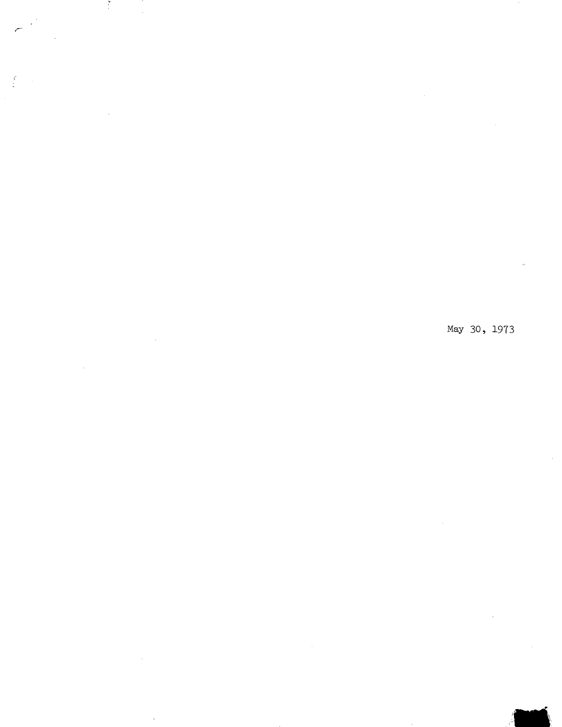Ť

 $\ddot{\phantom{a}}$ 

 $\lambda$ 

May 30, 1973

 $\epsilon$ 

**lot** 

 $\hat{\mathcal{L}}$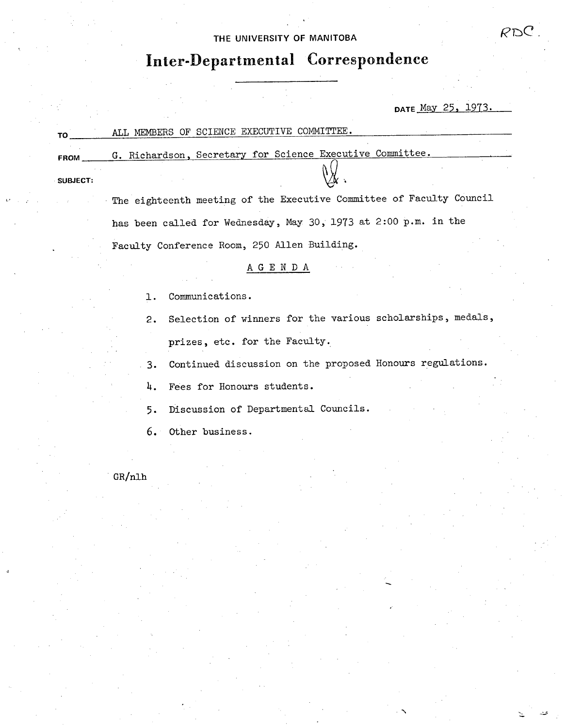# THE UNIVERSITY OF MANITOBA **EXECUTER**  $RDC$

# **Inter-Departmental Correspondence**

DATE May 25, 1973.

| TΟ              | ALL MEMBERS OF SCIENCE EXECUTIVE COMMITTEE.               |  |  |  |  |  |  |
|-----------------|-----------------------------------------------------------|--|--|--|--|--|--|
| FROM            | G. Richardson, Secretary for Science Executive Committee. |  |  |  |  |  |  |
| <b>SUBJECT:</b> |                                                           |  |  |  |  |  |  |

The eighteenth meeting of the Executive Committee of Faculty Council has been called for Wednesday, May 30, 1973 at 2:00 p.m. in the Faculty Conference Room, 250 Allen Building.

# A G E N D A

- Communications.  $1.$
- Selection of winners for the various scholarships, medals,  $2.$ prizes, etc. for the Faculty.
- Continued discussion on the proposed Honours regulations.  $3.$
- 4. Fees for Honours students.
- Discussion of Departmental Councils. 5.
- $6.$ Other business.

GR/nlh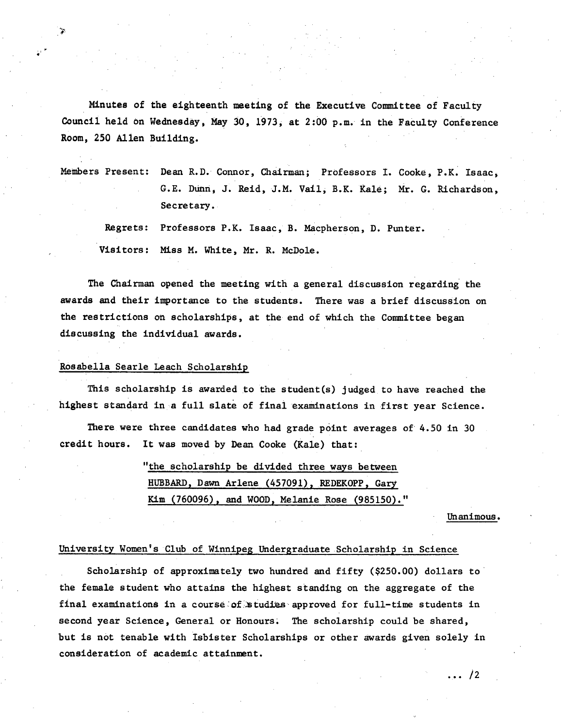Minutes of the eighteenth meeting of the Executive Committee of Faculty Council held on Wednesday, May 30, 1973, at 2:00 p.m. in the Faculty Conference Room, 250 Allen Building.

Members Present: Dean R.D. Connor, Chairman; PrOfessors I. Cooke, P.K. Isaac, G.E. Dunn, J. Reid, J.M. Vail, B.K. kale; Mr. G. Richardson, Secretary.

Regrets: Professors P.K. Isaac, B. Nacpherson, D. Punter. Visitors: Miss M. White, Mr. R. McDole.

The Chairman opened the meeting with a general discussion regarding the awards and their importance to the students. There was a brief discussion on the restrictions on scholarships, at the end of which the Committee began discussing the individual awards.

# Rosabella Searle Leach Scholarship

i<br>Vite<br>M

This scholarship is awarded to the student(s) judged to have reached the highest standard in a full slate of final examinations in first year Science.

There were three candidates who had grade point averages of 4.50 in 30 credit hours. It was moved by Dean Cooke (Kale) that:

> "the scholarship be divided three ways between HUBBARD, Dawn Arlene (457091), REDEKOPP, Gary Kim (760096), and WOOD, Melanie Rose (985150)."

> > Unanimous.

### University Women's Club of Winnipeg Undergraduate .Scholarship in Science

Scholarship of approximately two hundred and fifty (\$250.00) dollars to the female student who attains the highest standing on the aggregate of the final examinations in a course of studies approved for full-time students in second year Science, General or Honours. The scholarship could be shared, but is not tenable with Isbister Scholarships or other awards given solely in consideration of academic attainment.

 $\ldots$  /2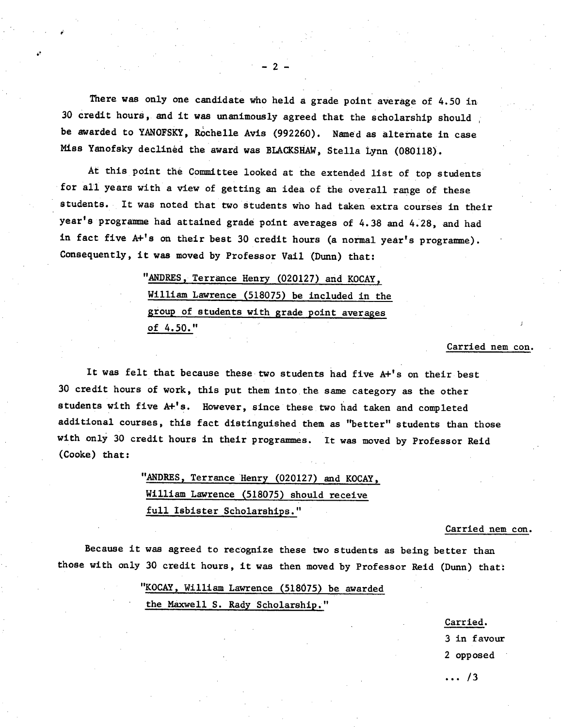There was only one candidate who held a grade point average of 4.50 in. 30 credit hours, and it was unanimously agreed that the scholarship should be awarded to YANOFSKY, Rochelle Avis (992260). Named as alternate in case Miss Yanofsky declined the award was BLACKSHAW, Stella Lynn (080118).

 $2<sub>-2</sub>$ 

At this point the Committee looked at the extended list of top students' for all years with a view of getting an idea of the overall range of these students. It was noted that two students who had taken extra courses in their year's programme had attained grade point averages of 4.38 and 4.28, and had in fact five A+'s on their best 30 credit hours (a normal year's programme). Consequently, it was moved by Professor Vail (Dunn) that:

> "ANDRES, Terrance Henry (020127) and KOCAY, William Lawrence (518075) be included in the group of students with grade point averages of 4.50."

#### Carried nem con.

It was felt that because these two students had five A+'s on their best 30 credit hours of work, this put them into the same category as the other students with five A+'s. However, since these two had taken and completed additional courses, this fact distinguished them as "better" students than those with only 30 credit hours in their programmes. It was moved by Professor Reid (Cooke) that:

> "ANDRES, Terrance Henry (020127) and KOCAY, William Lawrence (518075) should receive full Isbister Scholarships."

#### Carried nem con.

Because it was agreed to recognize these two students as being better than those with only 30 credit hours, it was then moved by Professor Reid (Dunn) that:

> "KOCAY, William Lawrence (518075). be awarded the Maxwell S. Rady Scholarship."

> > Carried.

3 in favour

2 opposed

 $\ldots$  /3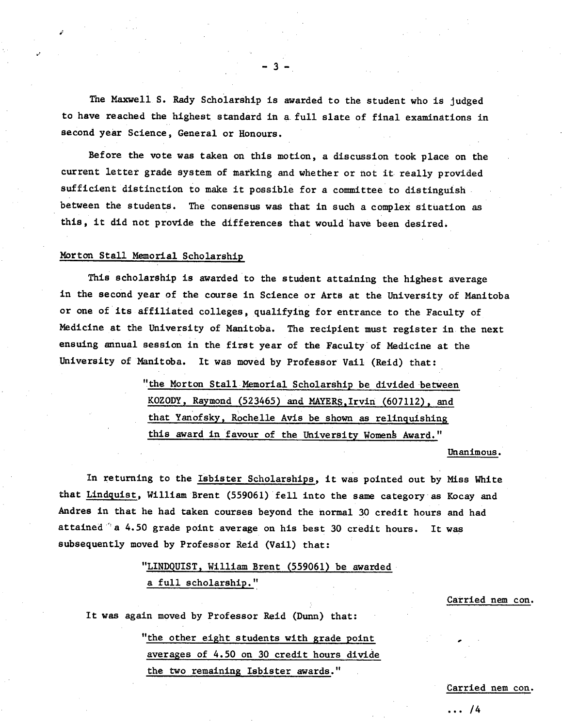The Maxwell S. Rady Scholarship is awarded to the student who is judged to have reached the highest standard in a. full slate of final examinations in second year Science, General or Honours.

-3-

Before the vote was taken on this motion, a discussion took place on the current letter grade system of marking and whether or not it really provided sufficient distinction to make it possible for a committee to distinguish between the students. The consensus was that in such a complex situation as this, it did not provide the differences that would have been desired.

#### Norton Stall Memorial Scholarship

This scholarship is awarded to the student attaining the highest average in the second year of the course in Science or Arts at the University of Manitoba or one of its affiliated colleges, qualifying for entrance to the Faculty of Medicine at the University of Manitoba. The recipient must register in. the next ensuing annual session in the first year of the Faculty of Medicine at the University of Manitoba. It was moved by Professor Vail (Reid) that:

> "the Morton Stall Memorial Scholarship be divided between KOZODY, Raymond (523465) and MAYERS, Irvin (607112), and that Yanof sky, Rochelle Avis be shown as relinquishing this award in favour of the University Womens Award."

#### Unanimous.

In returning to the Isbister Scholarships, it was pointed out by Miss White that Lindguist, William Brent (559061) fell into the same category as Kocay and Andres in that he had taken courses beyond the normal 30 credit hours and had attained  $\degree$  a 4.50 grade point average on his best 30 credit hours. It was subsequently moved by Professor Reid (Vail) that:

> "LINDQUIST, William Brent (559061) be awarded a full scholarship."

> > Carried nem con.

It was again moved by Professor Reid (Dunn) that:

"the other eight students with grade point averages of 4.50 on 30 credit hours divide the two remaining Isbister awards."

Carried nem con.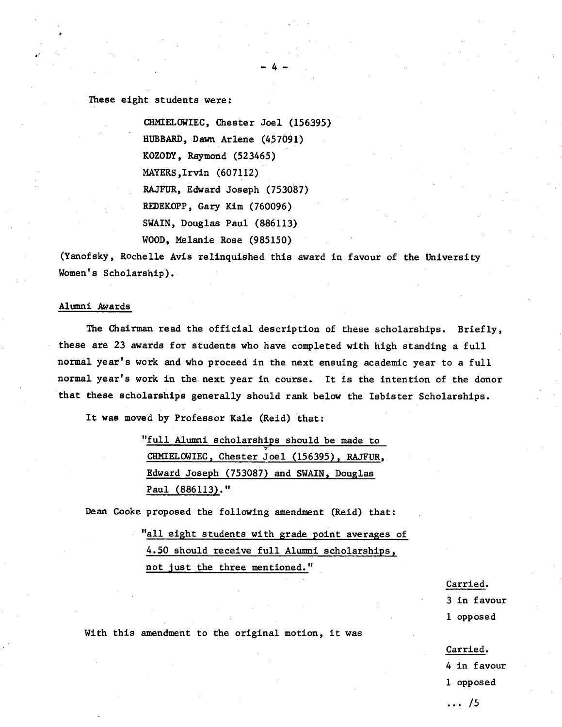# These eight students were:

CHMEELOWIEC, Chester Joel (156395) HUBBARD, Dawn Arlene (457091) KOZODY, Raymond (523465) MAYERS,Irvin (607112) RAJFUR, Edward Joseph (753087) REDEKOPP, Gary Kim (760096) SWAIN, Douglas Paul (886113) WOOD, Melanie Rose (985150)

(Yanofsky, Rochelle Avis relinquished this award in favour of the University Women's Scholarship)..

 $-4-$ 

#### Alumni Awards

The Chairman read the official description of these scholarships. Briefly, these are 23 awards for students who have completed with high standing a full normal year's work and who proceed in the next ensuing academic year to a full normal year's work in the next year in course. It is the intention of the donor that these scholarships generally should rank below the Isbister Scholarships.

It was moved by Professor Kale (Reid) that:

"full Alumni scholarships should be made to CHNIELOWIEC, Chester Joel (156395), RAJFUR, Edward Joseph (753087) and SWAIN, Douglas Paul (886113)."

Dean Cooke proposed the following amendment (Reid) that:

"all eight students with grade point averages of 4.50 should receive full Alumni scholarships, not just the three mentioned."

#### Carried.

3 in favour 1 opposed

With this amendment to the original motion, it was

#### Carried.

- 4 in favour
- 1 opposed
- ... /5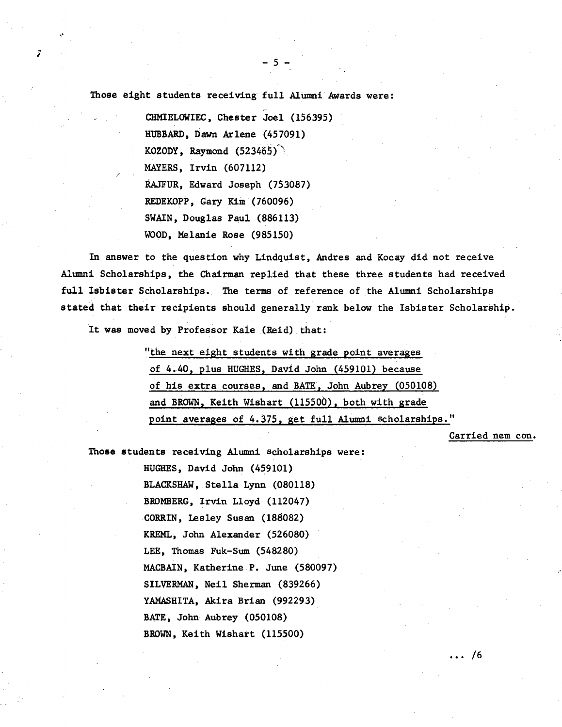Those eight students receiving full Alumni Awards were:

 $-5-$ 

CHMIELOWIEC, Chester Joel (156395) **HUBBARD, Dawn Arlene** (457091) KOZODY, Raymond  $(523465)$ . MAYERS, Irvin (607112) RAJFUR, Edward Joseph (753087) REDEKOPP, Gary Kim(760096) SWAIN, Douglas Paul (886113) WOOD, Melanie Rose (985150)

In answer to the question why Lindquist, Andres and Kocay did not receive Alumni Scholarships, the Chairman replied that these three students had received full Isbister Scholarships. The terms of reference of the Alumni Scholarships stated that their recipients should generally rank below the Isbister Scholarship.

It was moved by Professor Kale (Reid). that:

"the next eight students with grade point averages of 4.40, plus HUGHES, David John (459101) because of his extra courses, and BATE, John Aubrey (050108) and BROWN, Keith Wishart (115500), both with grade point averages of 4.375, get full Alumni scholarships."

Carried nem con.

Those students receiving Alumni scholarships were:

HUGHES, David John (459101) BLACKSHAW, Stella Lynn (080118) BRONBERG, Irvin Lloyd (112047) CORRIN, Lesley Susan (188082) KREML, John Alexander (526080) LEE, Thomas Fuk-Sum (548280) MACBAIN, Katherine P. June (580097) SILVERMAN, Neil Sherman (839266) YAMASHITA, Akira Brian (992293) BATE, John Aubrey (050108) BROWN, Keith Wishart (115500)